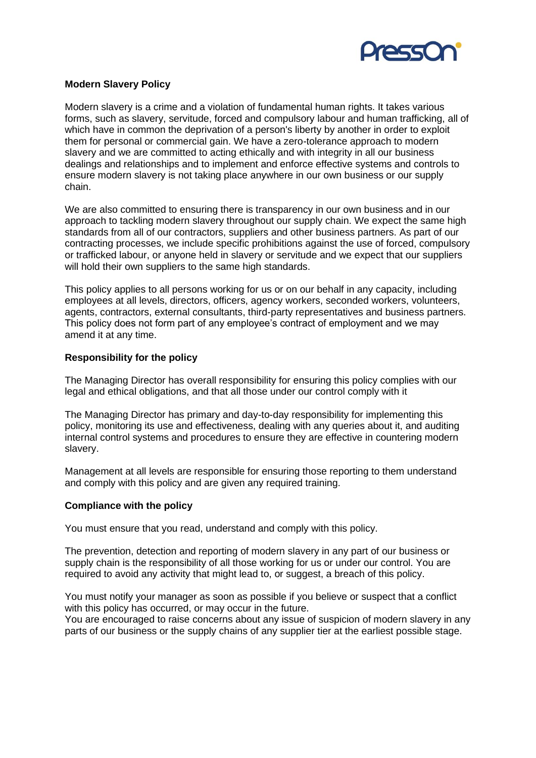

# **Modern Slavery Policy**

Modern slavery is a crime and a violation of fundamental human rights. It takes various forms, such as slavery, servitude, forced and compulsory labour and human trafficking, all of which have in common the deprivation of a person's liberty by another in order to exploit them for personal or commercial gain. We have a zero-tolerance approach to modern slavery and we are committed to acting ethically and with integrity in all our business dealings and relationships and to implement and enforce effective systems and controls to ensure modern slavery is not taking place anywhere in our own business or our supply chain.

We are also committed to ensuring there is transparency in our own business and in our approach to tackling modern slavery throughout our supply chain. We expect the same high standards from all of our contractors, suppliers and other business partners. As part of our contracting processes, we include specific prohibitions against the use of forced, compulsory or trafficked labour, or anyone held in slavery or servitude and we expect that our suppliers will hold their own suppliers to the same high standards.

This policy applies to all persons working for us or on our behalf in any capacity, including employees at all levels, directors, officers, agency workers, seconded workers, volunteers, agents, contractors, external consultants, third-party representatives and business partners. This policy does not form part of any employee's contract of employment and we may amend it at any time.

### **Responsibility for the policy**

The Managing Director has overall responsibility for ensuring this policy complies with our legal and ethical obligations, and that all those under our control comply with it

The Managing Director has primary and day-to-day responsibility for implementing this policy, monitoring its use and effectiveness, dealing with any queries about it, and auditing internal control systems and procedures to ensure they are effective in countering modern slavery.

Management at all levels are responsible for ensuring those reporting to them understand and comply with this policy and are given any required training.

### **Compliance with the policy**

You must ensure that you read, understand and comply with this policy.

The prevention, detection and reporting of modern slavery in any part of our business or supply chain is the responsibility of all those working for us or under our control. You are required to avoid any activity that might lead to, or suggest, a breach of this policy.

You must notify your manager as soon as possible if you believe or suspect that a conflict with this policy has occurred, or may occur in the future.

You are encouraged to raise concerns about any issue of suspicion of modern slavery in any parts of our business or the supply chains of any supplier tier at the earliest possible stage.